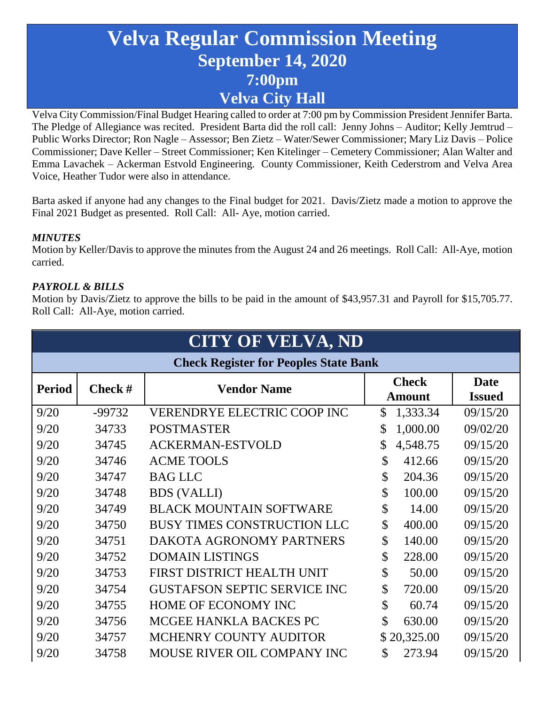# **Velva Regular Commission Meeting September 14, 2020 7:00pm Velva City Hall**

Velva City Commission/Final Budget Hearing called to order at 7:00 pm by Commission President Jennifer Barta. The Pledge of Allegiance was recited. President Barta did the roll call: Jenny Johns – Auditor; Kelly Jemtrud – Public Works Director; Ron Nagle – Assessor; Ben Zietz – Water/Sewer Commissioner; Mary Liz Davis – Police Commissioner; Dave Keller – Street Commissioner; Ken Kitelinger – Cemetery Commissioner; Alan Walter and Emma Lavachek – Ackerman Estvold Engineering. County Commissioner, Keith Cederstrom and Velva Area Voice, Heather Tudor were also in attendance.

Barta asked if anyone had any changes to the Final budget for 2021. Davis/Zietz made a motion to approve the Final 2021 Budget as presented. Roll Call: All- Aye, motion carried.

### *MINUTES*

Motion by Keller/Davis to approve the minutes from the August 24 and 26 meetings. Roll Call: All-Aye, motion carried.

### *PAYROLL & BILLS*

Motion by Davis/Zietz to approve the bills to be paid in the amount of \$43,957.31 and Payroll for \$15,705.77. Roll Call: All-Aye, motion carried.

| <b>CITY OF VELVA, ND</b>                     |                  |                                     |                               |                              |  |  |  |  |  |
|----------------------------------------------|------------------|-------------------------------------|-------------------------------|------------------------------|--|--|--|--|--|
| <b>Check Register for Peoples State Bank</b> |                  |                                     |                               |                              |  |  |  |  |  |
| <b>Period</b>                                | <b>Check</b> $#$ | <b>Vendor Name</b>                  | <b>Check</b><br><b>Amount</b> | <b>Date</b><br><b>Issued</b> |  |  |  |  |  |
| 9/20                                         | -99732           | <b>VERENDRYE ELECTRIC COOP INC</b>  | \$<br>1,333.34                | 09/15/20                     |  |  |  |  |  |
| 9/20                                         | 34733            | <b>POSTMASTER</b>                   | \$<br>1,000.00                | 09/02/20                     |  |  |  |  |  |
| 9/20                                         | 34745            | <b>ACKERMAN-ESTVOLD</b>             | \$<br>4,548.75                | 09/15/20                     |  |  |  |  |  |
| 9/20                                         | 34746            | <b>ACME TOOLS</b>                   | \$<br>412.66                  | 09/15/20                     |  |  |  |  |  |
| 9/20                                         | 34747            | <b>BAG LLC</b>                      | \$<br>204.36                  | 09/15/20                     |  |  |  |  |  |
| 9/20                                         | 34748            | <b>BDS</b> (VALLI)                  | \$<br>100.00                  | 09/15/20                     |  |  |  |  |  |
| 9/20                                         | 34749            | <b>BLACK MOUNTAIN SOFTWARE</b>      | \$<br>14.00                   | 09/15/20                     |  |  |  |  |  |
| 9/20                                         | 34750            | <b>BUSY TIMES CONSTRUCTION LLC</b>  | \$<br>400.00                  | 09/15/20                     |  |  |  |  |  |
| 9/20                                         | 34751            | DAKOTA AGRONOMY PARTNERS            | \$<br>140.00                  | 09/15/20                     |  |  |  |  |  |
| 9/20                                         | 34752            | <b>DOMAIN LISTINGS</b>              | \$<br>228.00                  | 09/15/20                     |  |  |  |  |  |
| 9/20                                         | 34753            | FIRST DISTRICT HEALTH UNIT          | \$<br>50.00                   | 09/15/20                     |  |  |  |  |  |
| 9/20                                         | 34754            | <b>GUSTAFSON SEPTIC SERVICE INC</b> | \$<br>720.00                  | 09/15/20                     |  |  |  |  |  |
| 9/20                                         | 34755            | HOME OF ECONOMY INC                 | \$<br>60.74                   | 09/15/20                     |  |  |  |  |  |
| 9/20                                         | 34756            | MCGEE HANKLA BACKES PC              | \$<br>630.00                  | 09/15/20                     |  |  |  |  |  |
| 9/20                                         | 34757            | MCHENRY COUNTY AUDITOR              | \$20,325.00                   | 09/15/20                     |  |  |  |  |  |
| 9/20                                         | 34758            | MOUSE RIVER OIL COMPANY INC         | \$<br>273.94                  | 09/15/20                     |  |  |  |  |  |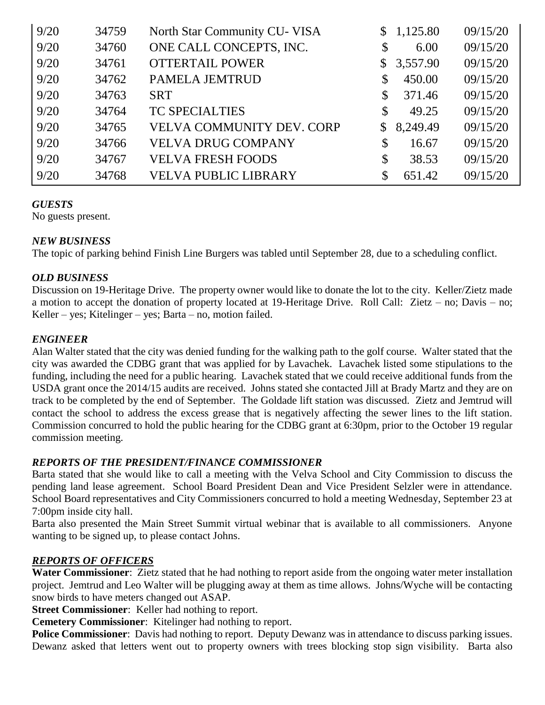| 9/20 | 34759 | North Star Community CU-VISA     |                | \$1,125.80 | 09/15/20 |
|------|-------|----------------------------------|----------------|------------|----------|
| 9/20 | 34760 | ONE CALL CONCEPTS, INC.          | \$             | 6.00       | 09/15/20 |
| 9/20 | 34761 | <b>OTTERTAIL POWER</b>           | $\mathbb{S}^-$ | 3,557.90   | 09/15/20 |
| 9/20 | 34762 | <b>PAMELA JEMTRUD</b>            | \$             | 450.00     | 09/15/20 |
| 9/20 | 34763 | <b>SRT</b>                       | \$             | 371.46     | 09/15/20 |
| 9/20 | 34764 | <b>TC SPECIALTIES</b>            | \$             | 49.25      | 09/15/20 |
| 9/20 | 34765 | <b>VELVA COMMUNITY DEV. CORP</b> | $\mathbb{S}$   | 8,249.49   | 09/15/20 |
| 9/20 | 34766 | <b>VELVA DRUG COMPANY</b>        | \$             | 16.67      | 09/15/20 |
| 9/20 | 34767 | <b>VELVA FRESH FOODS</b>         | \$             | 38.53      | 09/15/20 |
| 9/20 | 34768 | <b>VELVA PUBLIC LIBRARY</b>      |                | 651.42     | 09/15/20 |

### *GUESTS*

No guests present.

### *NEW BUSINESS*

The topic of parking behind Finish Line Burgers was tabled until September 28, due to a scheduling conflict.

### *OLD BUSINESS*

Discussion on 19-Heritage Drive. The property owner would like to donate the lot to the city. Keller/Zietz made a motion to accept the donation of property located at 19-Heritage Drive. Roll Call: Zietz – no; Davis – no; Keller – yes; Kitelinger – yes; Barta – no, motion failed.

### *ENGINEER*

Alan Walter stated that the city was denied funding for the walking path to the golf course. Walter stated that the city was awarded the CDBG grant that was applied for by Lavachek. Lavachek listed some stipulations to the funding, including the need for a public hearing. Lavachek stated that we could receive additional funds from the USDA grant once the 2014/15 audits are received. Johns stated she contacted Jill at Brady Martz and they are on track to be completed by the end of September. The Goldade lift station was discussed. Zietz and Jemtrud will contact the school to address the excess grease that is negatively affecting the sewer lines to the lift station. Commission concurred to hold the public hearing for the CDBG grant at 6:30pm, prior to the October 19 regular commission meeting.

### *REPORTS OF THE PRESIDENT/FINANCE COMMISSIONER*

Barta stated that she would like to call a meeting with the Velva School and City Commission to discuss the pending land lease agreement. School Board President Dean and Vice President Selzler were in attendance. School Board representatives and City Commissioners concurred to hold a meeting Wednesday, September 23 at 7:00pm inside city hall.

Barta also presented the Main Street Summit virtual webinar that is available to all commissioners. Anyone wanting to be signed up, to please contact Johns.

### *REPORTS OF OFFICERS*

**Water Commissioner**: Zietz stated that he had nothing to report aside from the ongoing water meter installation project. Jemtrud and Leo Walter will be plugging away at them as time allows. Johns/Wyche will be contacting snow birds to have meters changed out ASAP.

**Street Commissioner**: Keller had nothing to report.

**Cemetery Commissioner**: Kitelinger had nothing to report.

**Police Commissioner**: Davis had nothing to report. Deputy Dewanz was in attendance to discuss parking issues. Dewanz asked that letters went out to property owners with trees blocking stop sign visibility. Barta also